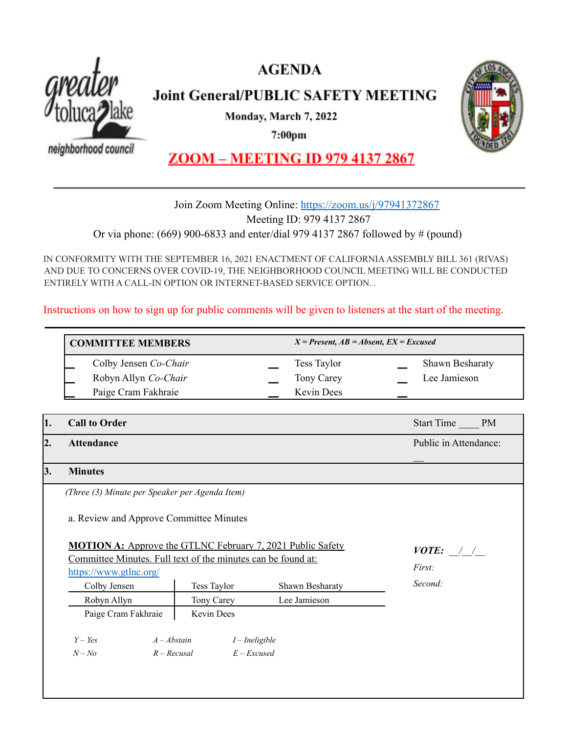



## **Joint General/PUBLIC SAFETY MEETING**

Monday, March 7, 2022

7:00pm

neighborhood council



### **ZOOM - MEETING ID 979 4137 2867**

#### Join Zoom Meeting Online: <https://zoom.us/j/97941372867> Meeting ID: 979 4137 2867 Or via phone: (669) 900-6833 and enter/dial 979 4137 2867 followed by # (pound)

IN CONFORMITY WITH THE SEPTEMBER 16, 2021 ENACTMENT OF CALIFORNIAASSEMBLY BILL 361 (RIVAS) AND DUE TO CONCERNS OVER COVID-19, THE NEIGHBORHOOD COUNCIL MEETING WILL BE CONDUCTED ENTIRELY WITH A CALL-IN OPTION OR INTERNET-BASED SERVICE OPTION. .

Instructions on how to sign up for public comments will be given to listeners at the start of the meeting.

**COMMITTEE MEMBERS** *X = Present, AB = Absent, EX = Excused* Colby Jensen *Co-Chair* **\_\_** Tess Taylor **\_\_** Shawn Besharaty Robyn Allyn *Co-Chair* **Comparent Comparent Comparent Comparent Comparent Comparent Comparent Comparent Comparent Comparent Comparent Comparent Comparent Comparent Comparent Comparent Comparent Comparent Comparent Comparen** Paige Cram Fakhraie **Example 20** Kevin Dees

| 1. | <b>Call to Order</b><br><b>Attendance</b>                                              |  |               |                 | Start Time PM         |
|----|----------------------------------------------------------------------------------------|--|---------------|-----------------|-----------------------|
| 2. |                                                                                        |  |               |                 | Public in Attendance: |
| 3. | <b>Minutes</b>                                                                         |  |               |                 |                       |
|    | (Three (3) Minute per Speaker per Agenda Item)                                         |  |               |                 |                       |
|    | a. Review and Approve Committee Minutes                                                |  |               |                 |                       |
|    | <b>MOTION A:</b> Approve the GTLNC February 7, 2021 Public Safety                      |  |               |                 | $VOTE:$ / /<br>First: |
|    | Committee Minutes. Full text of the minutes can be found at:<br>https://www.gtlnc.org/ |  |               |                 |                       |
|    | Colby Jensen                                                                           |  | Tess Taylor   | Shawn Besharaty | Second:               |
|    | Robyn Allyn                                                                            |  | Tony Carey    | Lee Jamieson    |                       |
|    | Paige Cram Fakhraie                                                                    |  | Kevin Dees    |                 |                       |
|    | $Y - Yes$<br>$A - Abstain$<br>$I$ – Ineligible                                         |  |               |                 |                       |
|    | $R - Recusal$<br>$N - No$                                                              |  | $E - Excused$ |                 |                       |
|    |                                                                                        |  |               |                 |                       |
|    |                                                                                        |  |               |                 |                       |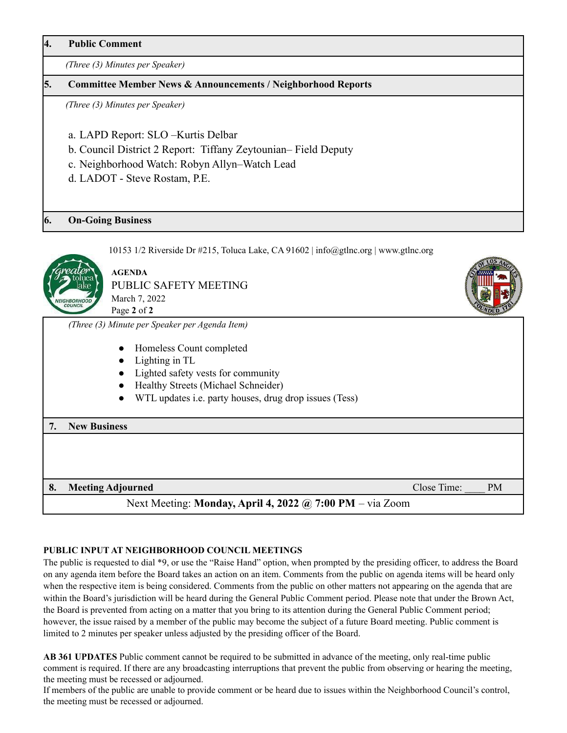**4. Public Comment**

*(Three (3) Minutes per Speaker)*

#### **5. Committee Member News & Announcements / Neighborhood Reports**

*(Three (3) Minutes per Speaker)*

- a. LAPD Report: SLO –Kurtis Delbar
- b. Council District 2 Report: Tiffany Zeytounian– Field Deputy
- c. Neighborhood Watch: Robyn Allyn–Watch Lead
- d. LADOT Steve Rostam, P.E.

#### **6. On-Going Business**



10153 1/2 Riverside Dr  $\#215$ , Toluca Lake, CA 91602 | info@gtlnc.org | www.gtlnc.org

**AGENDA** PUBLIC SAFETY MEETING March 7, 2022 Page **2** of **2**

*(Three (3) Minute per Speaker per Agenda Item)*

- Homeless Count completed
- Lighting in TL
- Lighted safety vests for community
- Healthy Streets (Michael Schneider)
- WTL updates i.e. party houses, drug drop issues (Tess)

# **7. New Business 8. Meeting Adjourned Close Time:**  $\bullet$  PM

Next Meeting: **Monday, April 4, 2022 @ 7:00 PM** – via Zoom

#### **PUBLIC INPUT AT NEIGHBORHOOD COUNCIL MEETINGS**

The public is requested to dial \*9, or use the "Raise Hand" option, when prompted by the presiding officer, to address the Board on any agenda item before the Board takes an action on an item. Comments from the public on agenda items will be heard only when the respective item is being considered. Comments from the public on other matters not appearing on the agenda that are within the Board's jurisdiction will be heard during the General Public Comment period. Please note that under the Brown Act, the Board is prevented from acting on a matter that you bring to its attention during the General Public Comment period; however, the issue raised by a member of the public may become the subject of a future Board meeting. Public comment is limited to 2 minutes per speaker unless adjusted by the presiding officer of the Board.

**AB 361 UPDATES** Public comment cannot be required to be submitted in advance of the meeting, only real-time public comment is required. If there are any broadcasting interruptions that prevent the public from observing or hearing the meeting, the meeting must be recessed or adjourned.

If members of the public are unable to provide comment or be heard due to issues within the Neighborhood Council's control, the meeting must be recessed or adjourned.